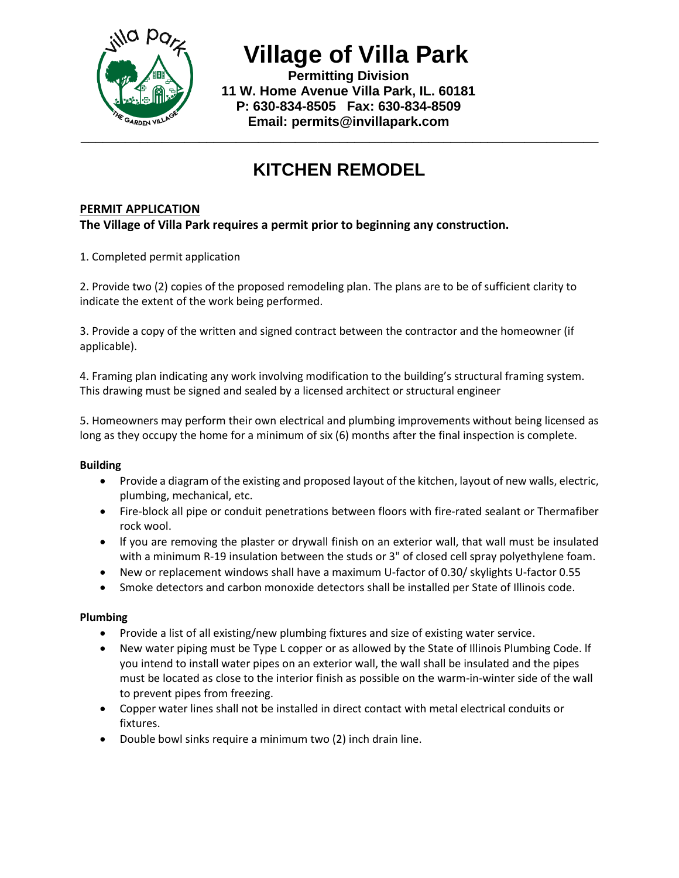

 **Village of Villa Park**

 **Permitting Division 11 W. Home Avenue Villa Park, IL. 60181 P: 630-834-8505 Fax: 630-834-8509 Email: permits@invillapark.com**

# **KITCHEN REMODEL**

# **PERMIT APPLICATION**

# **The Village of Villa Park requires a permit prior to beginning any construction.**

1. Completed permit application

2. Provide two (2) copies of the proposed remodeling plan. The plans are to be of sufficient clarity to indicate the extent of the work being performed.

3. Provide a copy of the written and signed contract between the contractor and the homeowner (if applicable).

4. Framing plan indicating any work involving modification to the building's structural framing system. This drawing must be signed and sealed by a licensed architect or structural engineer

5. Homeowners may perform their own electrical and plumbing improvements without being licensed as long as they occupy the home for a minimum of six (6) months after the final inspection is complete.

### **Building**

- Provide a diagram of the existing and proposed layout of the kitchen, layout of new walls, electric, plumbing, mechanical, etc.
- Fire-block all pipe or conduit penetrations between floors with fire-rated sealant or Thermafiber rock wool.
- lf you are removing the plaster or drywall finish on an exterior wall, that wall must be insulated with a minimum R-19 insulation between the studs or 3" of closed cell spray polyethylene foam.
- New or replacement windows shall have a maximum U-factor of 0.30/ skylights U-factor 0.55
- Smoke detectors and carbon monoxide detectors shall be installed per State of Illinois code.

### **Plumbing**

- Provide a list of all existing/new plumbing fixtures and size of existing water service.
- New water piping must be Type L copper or as allowed by the State of Illinois Plumbing Code. lf you intend to install water pipes on an exterior wall, the wall shall be insulated and the pipes must be located as close to the interior finish as possible on the warm-in-winter side of the wall to prevent pipes from freezing.
- Copper water lines shall not be installed in direct contact with metal electrical conduits or fixtures.
- Double bowl sinks require a minimum two (2) inch drain line.